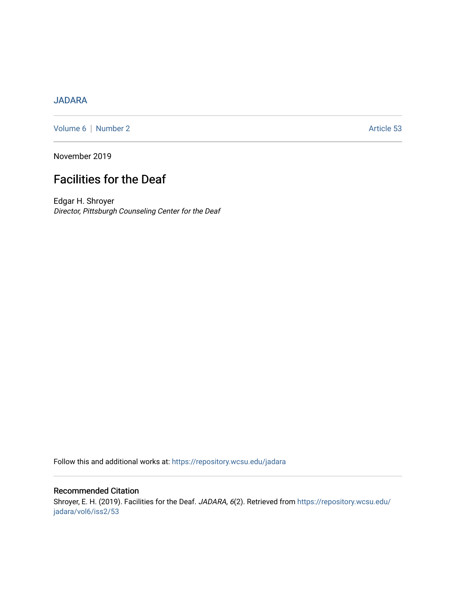## [JADARA](https://repository.wcsu.edu/jadara)

[Volume 6](https://repository.wcsu.edu/jadara/vol6) | [Number 2](https://repository.wcsu.edu/jadara/vol6/iss2) Article 53

November 2019

# Facilities for the Deaf

Edgar H. Shroyer Director, Pittsburgh Counseling Center for the Deaf

Follow this and additional works at: [https://repository.wcsu.edu/jadara](https://repository.wcsu.edu/jadara?utm_source=repository.wcsu.edu%2Fjadara%2Fvol6%2Fiss2%2F53&utm_medium=PDF&utm_campaign=PDFCoverPages)

### Recommended Citation Shroyer, E. H. (2019). Facilities for the Deaf. JADARA, 6(2). Retrieved from [https://repository.wcsu.edu/](https://repository.wcsu.edu/jadara/vol6/iss2/53?utm_source=repository.wcsu.edu%2Fjadara%2Fvol6%2Fiss2%2F53&utm_medium=PDF&utm_campaign=PDFCoverPages) [jadara/vol6/iss2/53](https://repository.wcsu.edu/jadara/vol6/iss2/53?utm_source=repository.wcsu.edu%2Fjadara%2Fvol6%2Fiss2%2F53&utm_medium=PDF&utm_campaign=PDFCoverPages)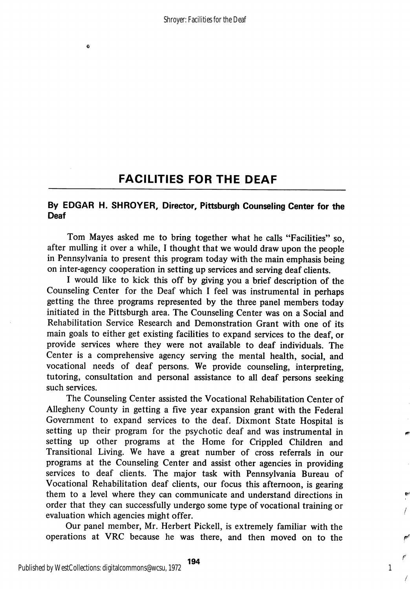# FACILITIES FOR THE DEAF

### By EDGAR H. SHROYER, Director, Pittsburgh Counseling Center for the Deaf

Tom Mayes asked me to bring together what he calls "Facilities" so, after mulling it over a while, 1 thought that we would draw upon the people in Pennsylvania to present this program today with the main emphasis being on inter-agency cooperation in setting up services and serving deaf clients.

I would like to kick this off by giving you a brief description of the Counseling Center for the Deaf which I feel was instrumental in perhaps getting the three programs represented by the three panel members today initiated in the Pittsburgh area. The Counseling Center was on a Social and Rehabilitation Service Research and Demonstration Grant with one of its main goals to either get existing facilities to expand services to the deaf, or provide services where they were not available to deaf individuals. The Center is a comprehensive agency serving the mental health, social, and vocational needs of deaf persons. We provide counseling, interpreting, tutoring, consultation and personal assistance to all deaf persons seeking such services.

The Counseling Center assisted the Vocational Rehabilitation Center of Allegheny County in getting a five year expansion grant with the Federal Government to expand services to the deaf. Dixmont State Hospital is setting up their program for the psychotic deaf and was instrumental in setting up other programs at the Home for Crippled Children and Transitional Living. We have a great number of cross referrals in our programs at the Counseling Center and assist other agencies in providing services to deaf clients. The major task with Pennsylvania Bureau of Vocational Rehabilitation deaf clients, our focus this afternoon, is gearing them to a level where they can communicate and understand directions in order that they can successfully undergo some type of vocational training or evaluation which agencies might offer.

Our panel member, Mr. Herbert Pickell, is extremely familiar with the operations at VRC because he was there, and then moved on to the

A

1